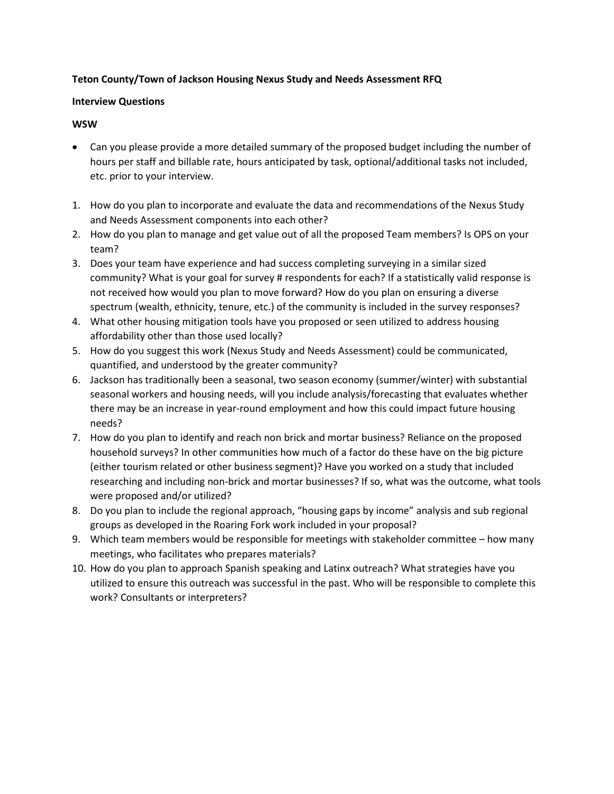# **Teton County/Town of Jackson Housing Nexus Study and Needs Assessment RFQ**

## **Interview Questions**

## **WSW**

- Can you please provide a more detailed summary of the proposed budget including the number of hours per staff and billable rate, hours anticipated by task, optional/additional tasks not included, etc. prior to your interview.
- 1. How do you plan to incorporate and evaluate the data and recommendations of the Nexus Study and Needs Assessment components into each other?
- 2. How do you plan to manage and get value out of all the proposed Team members? Is OPS on your team?
- 3. Does your team have experience and had success completing surveying in a similar sized community? What is your goal for survey # respondents for each? If a statistically valid response is not received how would you plan to move forward? How do you plan on ensuring a diverse spectrum (wealth, ethnicity, tenure, etc.) of the community is included in the survey responses?
- 4. What other housing mitigation tools have you proposed or seen utilized to address housing affordability other than those used locally?
- 5. How do you suggest this work (Nexus Study and Needs Assessment) could be communicated, quantified, and understood by the greater community?
- 6. Jackson has traditionally been a seasonal, two season economy (summer/winter) with substantial seasonal workers and housing needs, will you include analysis/forecasting that evaluates whether there may be an increase in year-round employment and how this could impact future housing needs?
- 7. How do you plan to identify and reach non brick and mortar business? Reliance on the proposed household surveys? In other communities how much of a factor do these have on the big picture (either tourism related or other business segment)? Have you worked on a study that included researching and including non-brick and mortar businesses? If so, what was the outcome, what tools were proposed and/or utilized?
- 8. Do you plan to include the regional approach, "housing gaps by income" analysis and sub regional groups as developed in the Roaring Fork work included in your proposal?
- 9. Which team members would be responsible for meetings with stakeholder committee how many meetings, who facilitates who prepares materials?
- 10. How do you plan to approach Spanish speaking and Latinx outreach? What strategies have you utilized to ensure this outreach was successful in the past. Who will be responsible to complete this work? Consultants or interpreters?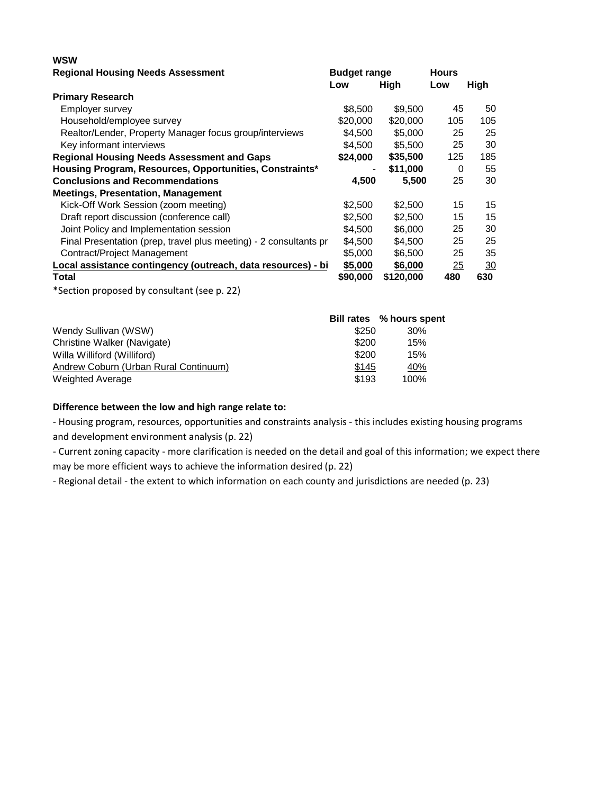| wsw                                                               |          |                     |          |                |
|-------------------------------------------------------------------|----------|---------------------|----------|----------------|
| <b>Regional Housing Needs Assessment</b>                          |          | <b>Budget range</b> |          |                |
|                                                                   | Low      | High                | Low      | High           |
| <b>Primary Research</b>                                           |          |                     |          |                |
| Employer survey                                                   | \$8,500  | \$9,500             | 45       | 50             |
| Household/employee survey                                         | \$20,000 | \$20,000            | 105      | 105            |
| Realtor/Lender, Property Manager focus group/interviews           | \$4,500  | \$5,000             | 25       | 25             |
| Key informant interviews                                          | \$4,500  | \$5,500             | 25       | 30             |
| <b>Regional Housing Needs Assessment and Gaps</b>                 | \$24,000 | \$35,500            | 125      | 185            |
| Housing Program, Resources, Opportunities, Constraints*           |          | \$11,000            | $\Omega$ | 55             |
| <b>Conclusions and Recommendations</b>                            | 4,500    | 5,500               | 25       | 30             |
| <b>Meetings, Presentation, Management</b>                         |          |                     |          |                |
| Kick-Off Work Session (zoom meeting)                              | \$2,500  | \$2,500             | 15       | 15             |
| Draft report discussion (conference call)                         | \$2,500  | \$2,500             | 15       | 15             |
| Joint Policy and Implementation session                           | \$4,500  | \$6,000             | 25       | 30             |
| Final Presentation (prep, travel plus meeting) - 2 consultants pr | \$4,500  | \$4,500             | 25       | 25             |
| Contract/Project Management                                       | \$5,000  | \$6,500             | 25       | 35             |
| Local assistance contingency (outreach, data resources) - bi      | \$5,000  | \$6,000             | 25       | $\frac{30}{2}$ |
| Total                                                             | \$90,000 | \$120,000           | 480      | 630            |
| *Section proposed by consultant (see p. 22)                       |          |                     |          |                |

|                                       |       | Bill rates % hours spent |
|---------------------------------------|-------|--------------------------|
| Wendy Sullivan (WSW)                  | \$250 | 30%                      |
| Christine Walker (Navigate)           | \$200 | 15%                      |
| Willa Williford (Williford)           | \$200 | 15%                      |
| Andrew Coburn (Urban Rural Continuum) | \$145 | <u>40%</u>               |
| <b>Weighted Average</b>               | \$193 | 100%                     |

## **Difference between the low and high range relate to:**

- Housing program, resources, opportunities and constraints analysis - this includes existing housing programs and development environment analysis (p. 22)

- Current zoning capacity - more clarification is needed on the detail and goal of this information; we expect there may be more efficient ways to achieve the information desired (p. 22)

- Regional detail - the extent to which information on each county and jurisdictions are needed (p. 23)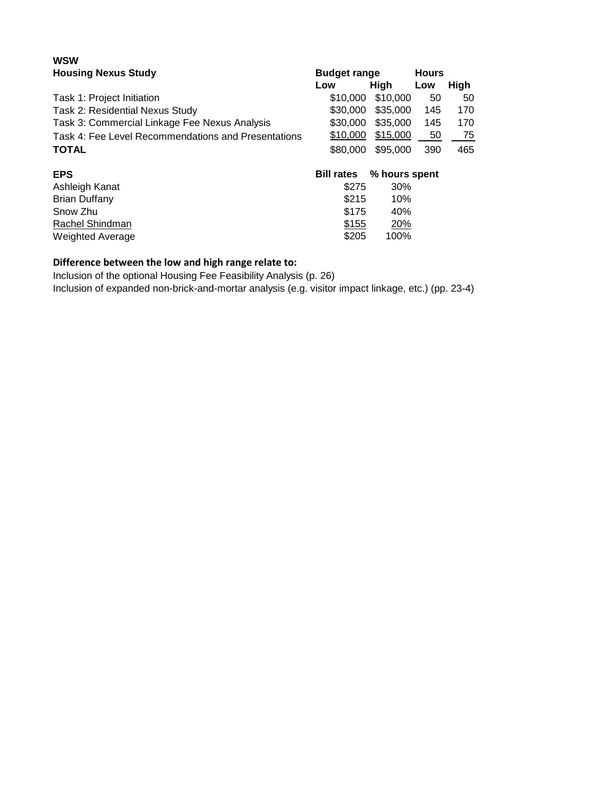#### **WSW Housing Nexus Study Budget range Hours**

| <b>TIOUSING INCAUS OLUUY</b><br>Duuyot Taliyo       |                   |               | 1 IVUI 3 |      |  |
|-----------------------------------------------------|-------------------|---------------|----------|------|--|
|                                                     | Low               | High          | Low      | High |  |
| Task 1: Project Initiation                          | \$10,000          | \$10,000      | 50       | 50   |  |
| Task 2: Residential Nexus Study                     | \$30,000          | \$35,000      | 145      | 170  |  |
| Task 3: Commercial Linkage Fee Nexus Analysis       | \$30,000          | \$35,000      | 145      | 170  |  |
| Task 4: Fee Level Recommendations and Presentations | \$10,000          | \$15,000      | 50       | 75   |  |
| <b>TOTAL</b>                                        | \$80,000          | \$95,000      | 390      | 465  |  |
| <b>EPS</b>                                          | <b>Bill rates</b> | % hours spent |          |      |  |
| Ashleigh Kanat                                      | \$275             | 30%           |          |      |  |
| <b>Brian Duffany</b>                                | \$215             | 10%           |          |      |  |
| Snow Zhu                                            | \$175             | 40%           |          |      |  |
| Rachel Shindman                                     | \$155             | 20%           |          |      |  |
| <b>Weighted Average</b>                             | \$205             | 100%          |          |      |  |
|                                                     |                   |               |          |      |  |

# **Difference between the low and high range relate to:**

Inclusion of the optional Housing Fee Feasibility Analysis (p. 26)

Inclusion of expanded non-brick-and-mortar analysis (e.g. visitor impact linkage, etc.) (pp. 23-4)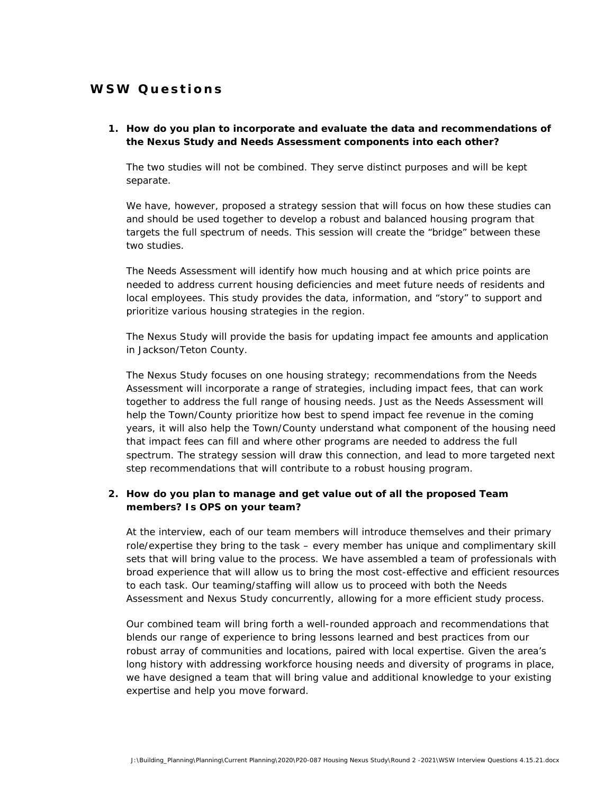# **WSW Questions**

#### **1. How do you plan to incorporate and evaluate the data and recommendations of the Nexus Study and Needs Assessment components into each other?**

The two studies will not be combined. They serve distinct purposes and will be kept separate.

We have, however, proposed a strategy session that will focus on how these studies can and should be used together to develop a robust and balanced housing program that targets the full spectrum of needs. This session will create the "bridge" between these two studies.

The Needs Assessment will identify how much housing and at which price points are needed to address current housing deficiencies and meet future needs of residents and local employees. This study provides the data, information, and "story" to support and prioritize various housing strategies in the region.

The Nexus Study will provide the basis for updating impact fee amounts and application in Jackson/Teton County.

The Nexus Study focuses on one housing strategy; recommendations from the Needs Assessment will incorporate a range of strategies, including impact fees, that can work together to address the full range of housing needs. Just as the Needs Assessment will help the Town/County prioritize how best to spend impact fee revenue in the coming years, it will also help the Town/County understand what component of the housing need that impact fees can fill and where other programs are needed to address the full spectrum. The strategy session will draw this connection, and lead to more targeted next step recommendations that will contribute to a robust housing program.

# **2. How do you plan to manage and get value out of all the proposed Team members? Is OPS on your team?**

At the interview, each of our team members will introduce themselves and their primary role/expertise they bring to the task – every member has unique and complimentary skill sets that will bring value to the process. We have assembled a team of professionals with broad experience that will allow us to bring the most cost-effective and efficient resources to each task. Our teaming/staffing will allow us to proceed with both the Needs Assessment and Nexus Study concurrently, allowing for a more efficient study process.

Our combined team will bring forth a well-rounded approach and recommendations that blends our range of experience to bring lessons learned and best practices from our robust array of communities and locations, paired with local expertise. Given the area's long history with addressing workforce housing needs and diversity of programs in place, we have designed a team that will bring value and additional knowledge to your existing expertise and help you move forward.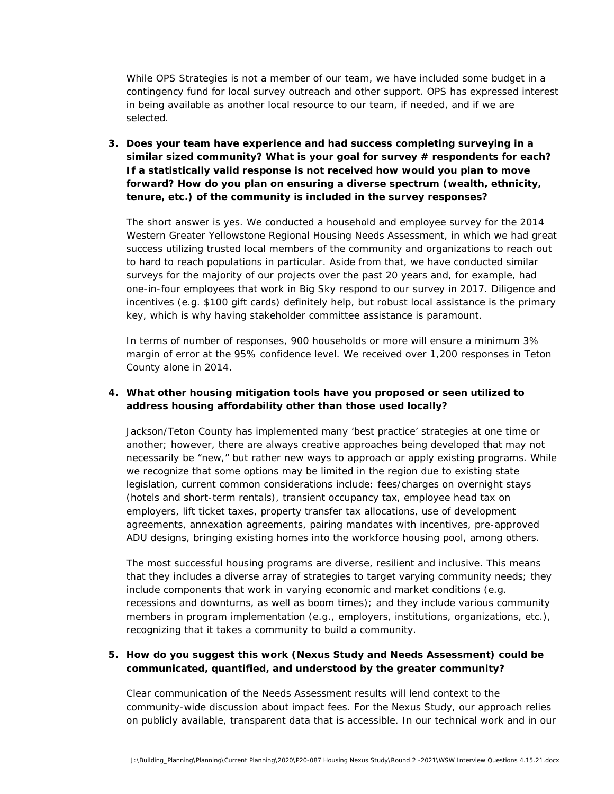While OPS Strategies is not a member of our team, we have included some budget in a contingency fund for local survey outreach and other support. OPS has expressed interest in being available as another local resource to our team, if needed, and if we are selected.

**3. Does your team have experience and had success completing surveying in a**  similar sized community? What is your goal for survey # respondents for each? **If a statistically valid response is not received how would you plan to move forward? How do you plan on ensuring a diverse spectrum (wealth, ethnicity, tenure, etc.) of the community is included in the survey responses?**

The short answer is yes. We conducted a household and employee survey for the 2014 Western Greater Yellowstone Regional Housing Needs Assessment, in which we had great success utilizing trusted local members of the community and organizations to reach out to hard to reach populations in particular. Aside from that, we have conducted similar surveys for the majority of our projects over the past 20 years and, for example, had one-in-four employees that work in Big Sky respond to our survey in 2017. Diligence and incentives (e.g. \$100 gift cards) definitely help, but robust local assistance is the primary key, which is why having stakeholder committee assistance is paramount.

In terms of number of responses, 900 households or more will ensure a minimum 3% margin of error at the 95% confidence level. We received over 1,200 responses in Teton County alone in 2014.

# **4. What other housing mitigation tools have you proposed or seen utilized to address housing affordability other than those used locally?**

Jackson/Teton County has implemented many 'best practice' strategies at one time or another; however, there are always creative approaches being developed that may not necessarily be "new," but rather new ways to approach or apply existing programs. While we recognize that some options may be limited in the region due to existing state legislation, current common considerations include: fees/charges on overnight stays (hotels and short-term rentals), transient occupancy tax, employee head tax on employers, lift ticket taxes, property transfer tax allocations, use of development agreements, annexation agreements, pairing mandates with incentives, pre-approved ADU designs, bringing existing homes into the workforce housing pool, among others.

The most successful housing programs are diverse, resilient and inclusive. This means that they includes a diverse array of strategies to target varying community needs; they include components that work in varying economic and market conditions (e.g. recessions and downturns, as well as boom times); and they include various community members in program implementation (e.g., employers, institutions, organizations, etc.), recognizing that it takes a community to build a community.

## **5. How do you suggest this work (Nexus Study and Needs Assessment) could be communicated, quantified, and understood by the greater community?**

Clear communication of the Needs Assessment results will lend context to the community-wide discussion about impact fees. For the Nexus Study, our approach relies on publicly available, transparent data that is accessible. In our technical work and in our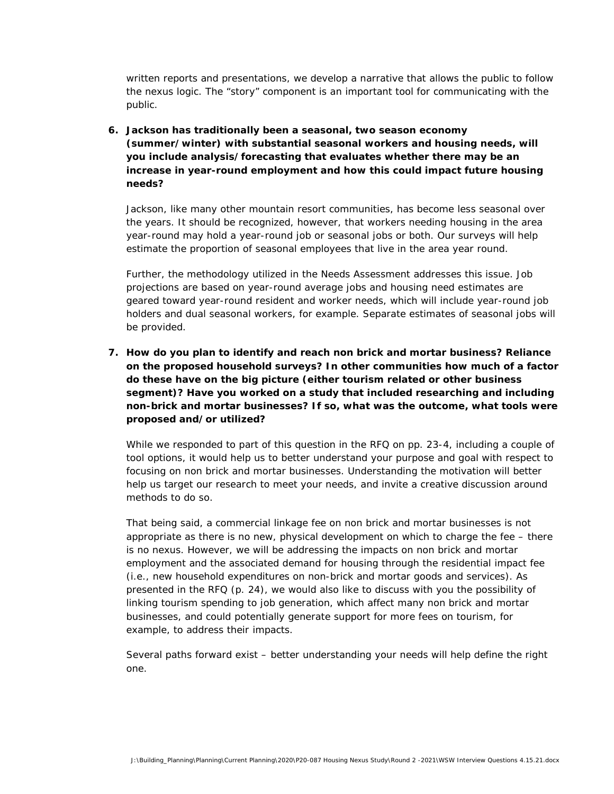written reports and presentations, we develop a narrative that allows the public to follow the nexus logic. The "story" component is an important tool for communicating with the public.

**6. Jackson has traditionally been a seasonal, two season economy (summer/winter) with substantial seasonal workers and housing needs, will you include analysis/forecasting that evaluates whether there may be an increase in year-round employment and how this could impact future housing needs?** 

Jackson, like many other mountain resort communities, has become less seasonal over the years. It should be recognized, however, that workers needing housing in the area year-round may hold a year-round job or seasonal jobs or both. Our surveys will help estimate the proportion of seasonal employees that live in the area year round.

Further, the methodology utilized in the Needs Assessment addresses this issue. Job projections are based on year-round average jobs and housing need estimates are geared toward year-round resident and worker needs, which will include year-round job holders and dual seasonal workers, for example. Separate estimates of seasonal jobs will be provided.

**7. How do you plan to identify and reach non brick and mortar business? Reliance on the proposed household surveys? In other communities how much of a factor do these have on the big picture (either tourism related or other business segment)? Have you worked on a study that included researching and including non-brick and mortar businesses? If so, what was the outcome, what tools were proposed and/or utilized?** 

While we responded to part of this question in the RFQ on pp. 23-4, including a couple of tool options, it would help us to better understand your purpose and goal with respect to focusing on non brick and mortar businesses. Understanding the motivation will better help us target our research to meet your needs, and invite a creative discussion around methods to do so.

That being said, a commercial linkage fee on non brick and mortar businesses is not appropriate as there is no new, physical development on which to charge the fee – there is no nexus. However, we *will* be addressing the impacts on non brick and mortar employment and the associated demand for housing through the residential impact fee (i.e., new household expenditures on non-brick and mortar goods and services). As presented in the RFQ (p. 24), we would also like to discuss with you the possibility of linking tourism spending to job generation, which affect many non brick and mortar businesses, and could potentially generate support for more fees on tourism, for example, to address their impacts.

Several paths forward exist – better understanding your needs will help define the right one.